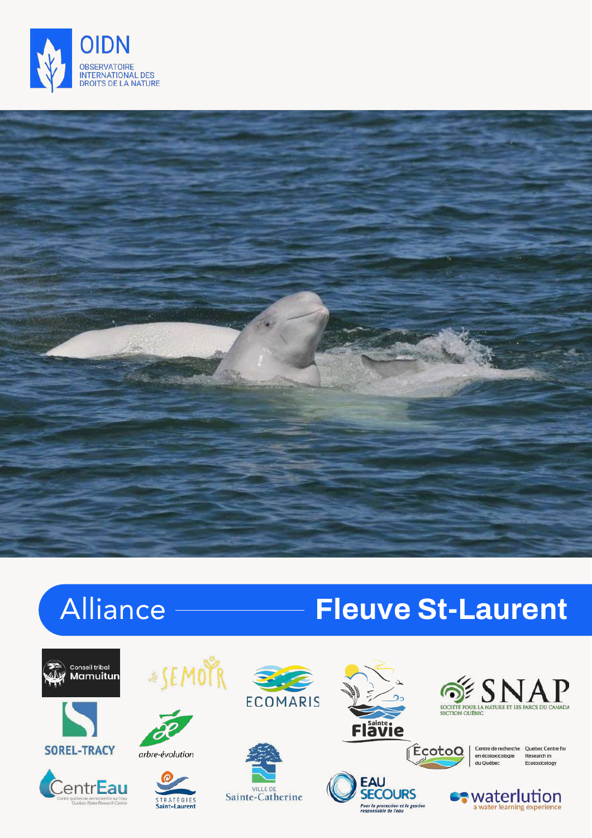



### Alliance **Fleuve St-Laurent**

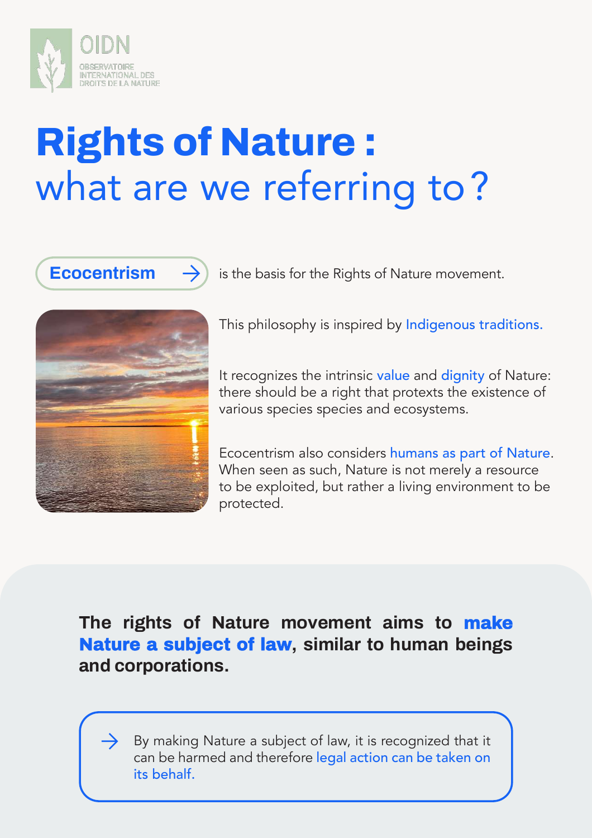

## **Rights of Nature :** what are we referring to?

**Ecocentrism**  $\rightarrow$  is the basis for the Rights of Nature movement.



This philosophy is inspired by Indigenous traditions.

It recognizes the intrinsic value and dignity of Nature: there should be a right that protexts the existence of various species species and ecosystems.

Ecocentrism also considers humans as part of Nature. When seen as such, Nature is not merely a resource to be exploited, but rather a living environment to be protected.

#### **The rights of Nature movement aims to make Nature a subject of law, similar to human beings and corporations.**

By making Nature a subject of law, it is recognized that it can be harmed and therefore legal action can be taken on its behalf.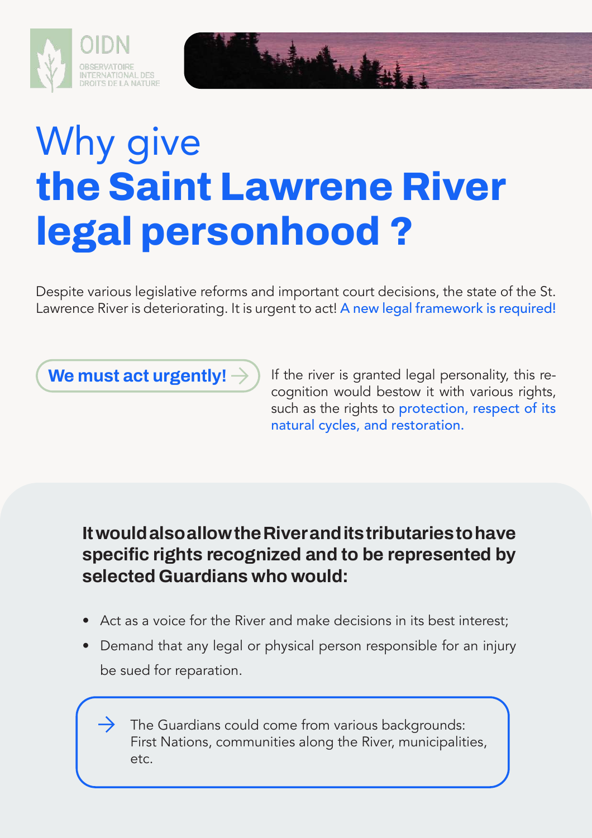



Despite various legislative reforms and important court decisions, the state of the St. Lawrence River is deteriorating. It is urgent to act! A new legal framework is required!

**We must act urgently!**  $\rightarrow$  If the river is granted legal personality, this recognition would bestow it with various rights, such as the rights to protection, respect of its natural cycles, and restoration.

#### **It would also allow the River and its tributaries to have specific rights recognized and to be represented by selected Guardians who would:**

- Act as a voice for the River and make decisions in its best interest;
- Demand that any legal or physical person responsible for an injury be sued for reparation.

The Guardians could come from various backgrounds: First Nations, communities along the River, municipalities, etc.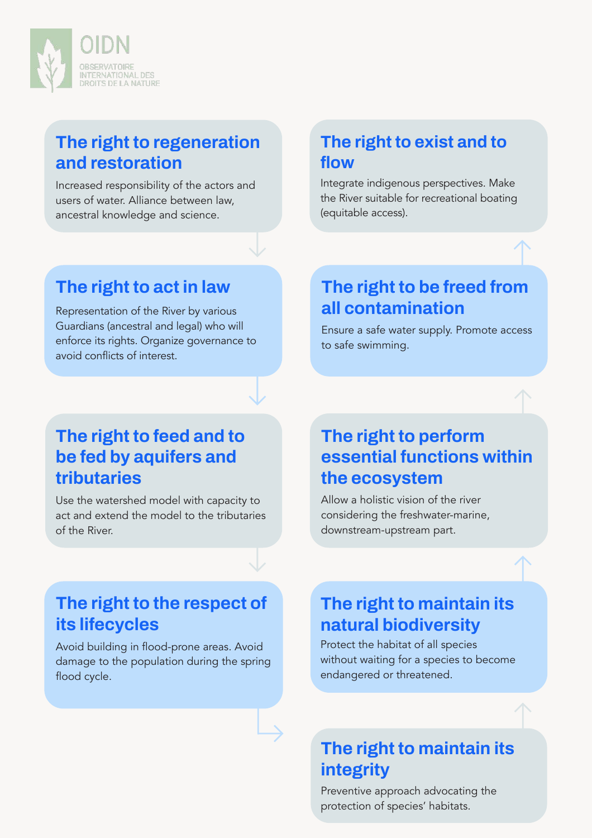

#### **The right to regeneration and restoration**

Increased responsibility of the actors and users of water. Alliance between law, ancestral knowledge and science.

#### **The right to exist and to flow**

Integrate indigenous perspectives. Make the River suitable for recreational boating (equitable access).

#### **The right to act in law**

Representation of the River by various Guardians (ancestral and legal) who will enforce its rights. Organize governance to avoid conflicts of interest.

#### **The right to be freed from all contamination**

Ensure a safe water supply. Promote access to safe swimming.

#### **The right to feed and to be fed by aquifers and tributaries**

Use the watershed model with capacity to act and extend the model to the tributaries of the River.

#### **The right to perform essential functions within the ecosystem**

Allow a holistic vision of the river considering the freshwater-marine, downstream-upstream part.

#### **The right to the respect of its lifecycles**

Avoid building in flood-prone areas. Avoid damage to the population during the spring flood cycle.

#### **The right to maintain its natural biodiversity**

Protect the habitat of all species without waiting for a species to become endangered or threatened.

#### **The right to maintain its integrity**

Preventive approach advocating the protection of species' habitats.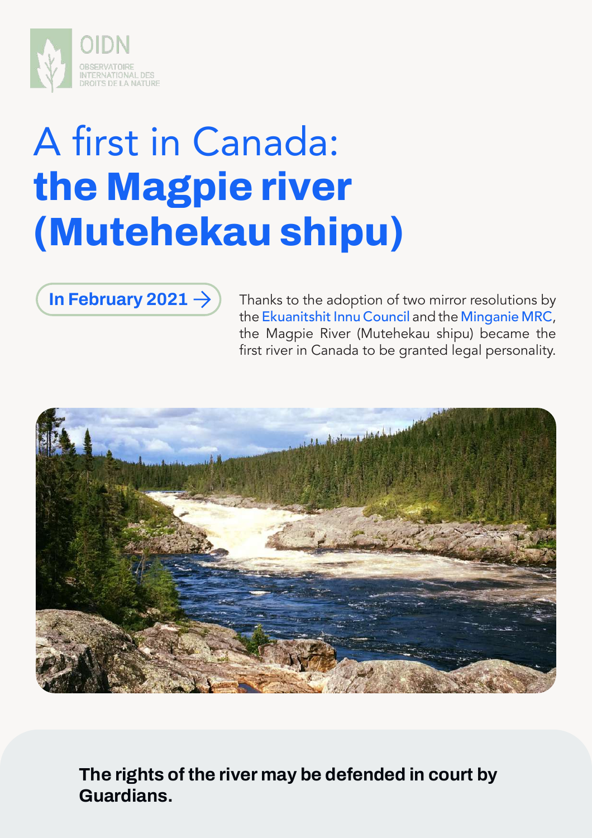

# A first in Canada: **the Magpie river (Mutehekau shipu)**

**In February 2021**  $\rightarrow$  Thanks to the adoption of two mirror resolutions by the Ekuanitshit Innu Council and the Minganie MRC, the Magpie River (Mutehekau shipu) became the first river in Canada to be granted legal personality.



**The rights of the river may be defended in court by Guardians.**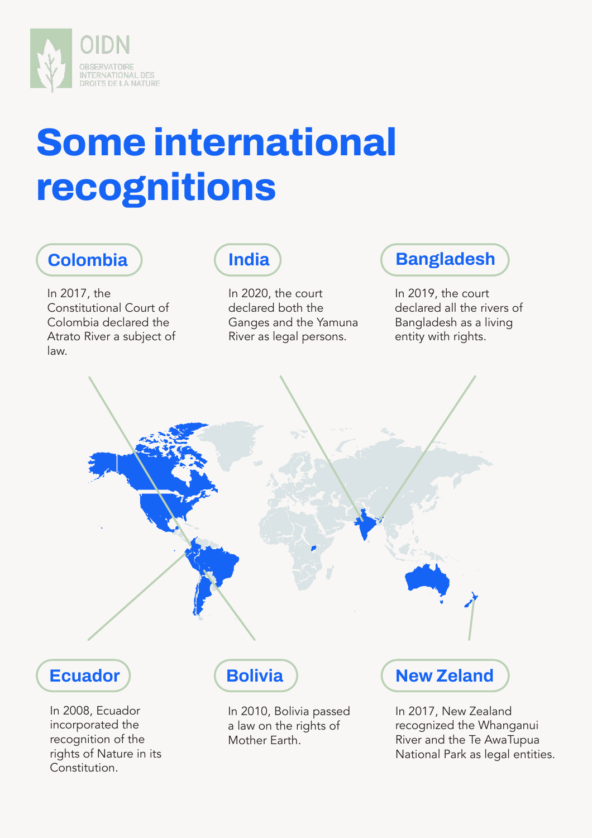

### **Some international recognitions**

### **Colombia**

In 2017, the Constitutional Court of Colombia declared the Atrato River a subject of law.

recognition of the rights of Nature in its

Constitution.

#### **India**

In 2020, the court declared both the Ganges and the Yamuna River as legal persons.

#### **Bangladesh**

In 2019, the court declared all the rivers of Bangladesh as a living entity with rights.



Mother Earth.

recognized the Whanganui River and the Te AwaTupua National Park as legal entities.